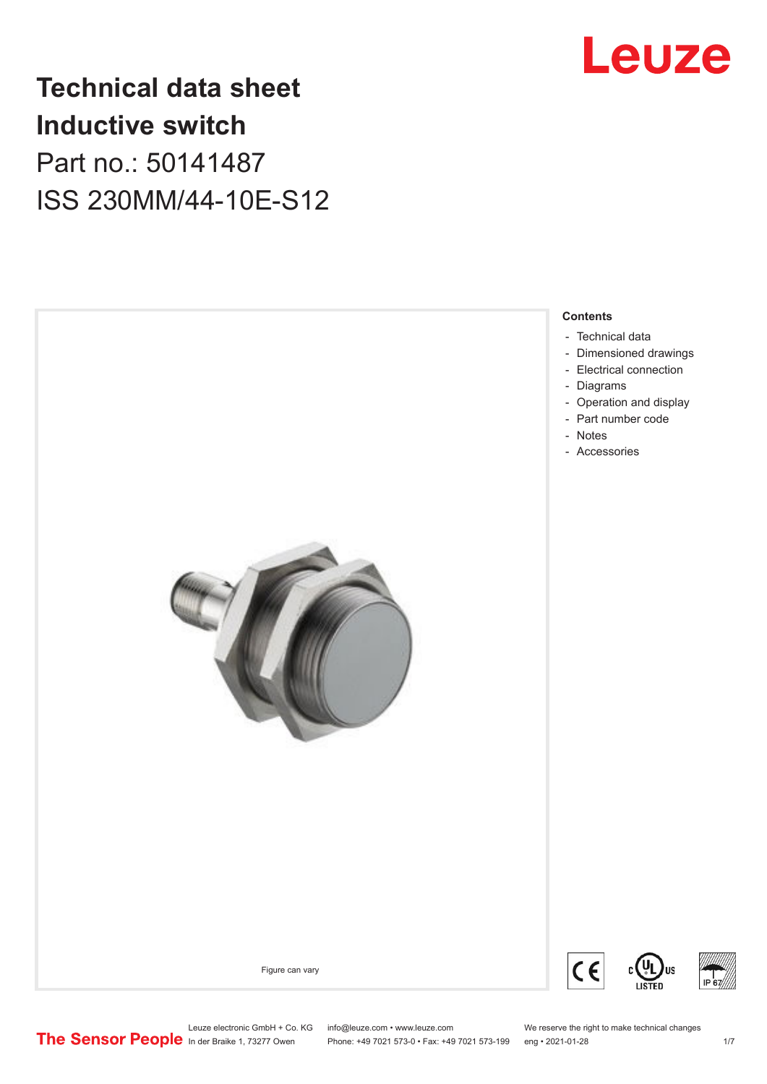

# **Technical data sheet Inductive switch** Part no.: 50141487 ISS 230MM/44-10E-S12



Leuze electronic GmbH + Co. KG info@leuze.com • www.leuze.com We reserve the right to make technical changes<br>
The Sensor People in der Braike 1, 73277 Owen Phone: +49 7021 573-0 • Fax: +49 7021 573-199 eng • 2021-01-28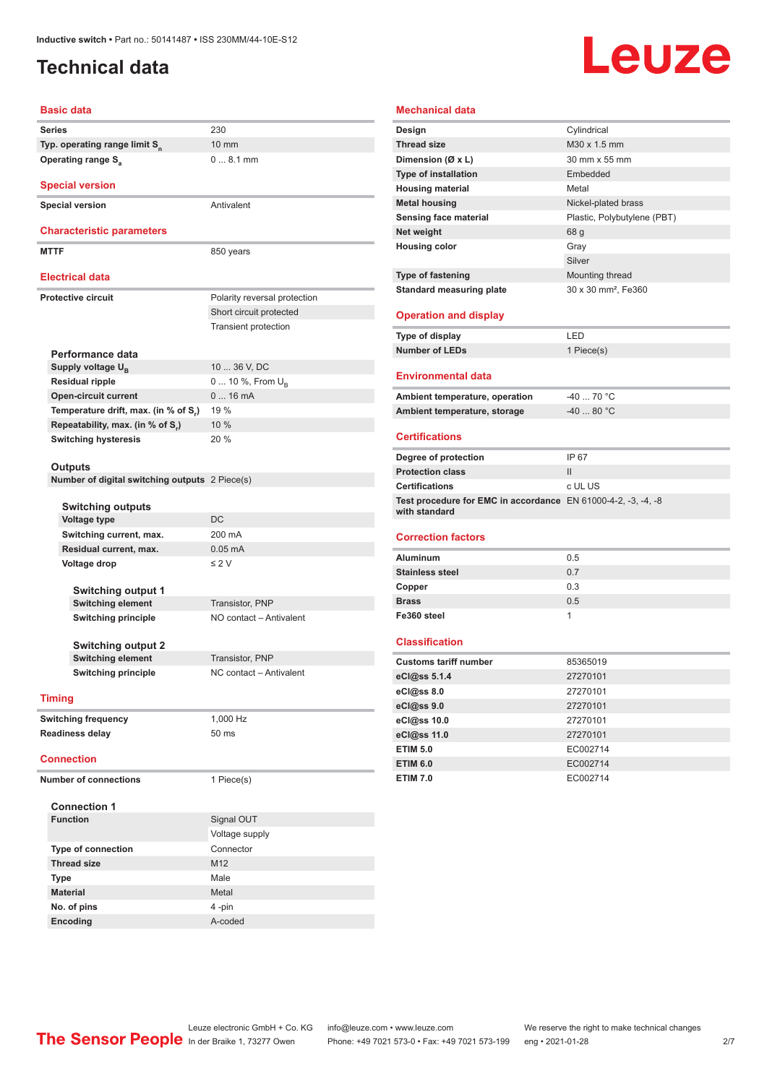### <span id="page-1-0"></span>**Technical data**

# **Leuze**

|                              | Basic data                                     |                              |
|------------------------------|------------------------------------------------|------------------------------|
|                              | <b>Series</b>                                  | 230                          |
|                              | Typ. operating range limit S <sub>n</sub>      | 10 mm                        |
|                              | <b>Operating range S</b>                       | $08.1$ mm                    |
|                              | <b>Special version</b>                         |                              |
|                              |                                                |                              |
|                              | <b>Special version</b>                         | Antivalent                   |
|                              | <b>Characteristic parameters</b>               |                              |
|                              | <b>MTTF</b>                                    | 850 years                    |
|                              | <b>Electrical data</b>                         |                              |
|                              | <b>Protective circuit</b>                      | Polarity reversal protection |
|                              |                                                | Short circuit protected      |
|                              |                                                | <b>Transient protection</b>  |
|                              |                                                |                              |
|                              | Performance data                               |                              |
|                              | Supply voltage U <sub>B</sub>                  | 10  36 V, DC                 |
|                              | <b>Residual ripple</b>                         | 0  10 %, From U <sub>p</sub> |
|                              | <b>Open-circuit current</b>                    | $016$ mA                     |
|                              | Temperature drift, max. (in % of S.)           | 19 %                         |
|                              | Repeatability, max. (in % of S.)               | 10%                          |
|                              | <b>Switching hysteresis</b>                    | 20%                          |
|                              |                                                |                              |
|                              | <b>Outputs</b>                                 |                              |
|                              | Number of digital switching outputs 2 Piece(s) |                              |
|                              |                                                |                              |
|                              | <b>Switching outputs</b>                       |                              |
|                              | Voltage type                                   | DC                           |
|                              | Switching current, max.                        | 200 mA                       |
|                              | Residual current, max.                         | $0.05$ mA                    |
|                              | Voltage drop                                   | $\leq 2$ V                   |
|                              |                                                |                              |
|                              | Switching output 1                             |                              |
|                              | <b>Switching element</b>                       | Transistor, PNP              |
|                              | <b>Switching principle</b>                     | NO contact - Antivalent      |
|                              |                                                |                              |
|                              | <b>Switching output 2</b>                      |                              |
|                              | <b>Switching element</b>                       | Transistor, PNP              |
|                              | <b>Switching principle</b>                     | NC contact - Antivalent      |
|                              | <b>Timing</b>                                  |                              |
|                              |                                                |                              |
|                              | <b>Switching frequency</b>                     | 1,000 Hz                     |
|                              | <b>Readiness delay</b>                         | 50 ms                        |
|                              | <b>Connection</b>                              |                              |
| <b>Number of connections</b> |                                                | 1 Piece(s)                   |
|                              |                                                |                              |
|                              | <b>Connection 1</b>                            |                              |
|                              | <b>Function</b>                                | Signal OUT                   |
|                              |                                                | Voltage supply               |
|                              | <b>Type of connection</b>                      | Connector                    |
|                              | <b>Thread size</b>                             | M <sub>12</sub>              |
|                              | <b>Type</b>                                    | Male                         |
|                              | <b>Material</b>                                | Metal                        |
|                              | No. of pins                                    | 4 -pin                       |
|                              | Encoding                                       | A-coded                      |

| <b>Mechanical data</b>                                        |                                 |
|---------------------------------------------------------------|---------------------------------|
| Design                                                        | Cylindrical                     |
| <b>Thread size</b>                                            | M30 x 1.5 mm                    |
| Dimension (Ø x L)                                             | 30 mm x 55 mm                   |
| <b>Type of installation</b>                                   | Embedded                        |
| <b>Housing material</b>                                       | Metal                           |
| <b>Metal housing</b>                                          | Nickel-plated brass             |
| <b>Sensing face material</b>                                  | Plastic, Polybutylene (PBT)     |
| Net weight                                                    | 68 g                            |
| <b>Housing color</b>                                          | Gray                            |
|                                                               | Silver                          |
| <b>Type of fastening</b>                                      | Mounting thread                 |
| <b>Standard measuring plate</b>                               | 30 x 30 mm <sup>2</sup> , Fe360 |
| <b>Operation and display</b>                                  |                                 |
| Type of display                                               | LED                             |
| <b>Number of LEDs</b>                                         | 1 Piece(s)                      |
|                                                               |                                 |
| Environmental data                                            |                                 |
| Ambient temperature, operation                                | $-4070 °C$                      |
| Ambient temperature, storage                                  | $-40$ 80 °C                     |
|                                                               |                                 |
| <b>Certifications</b>                                         |                                 |
| Degree of protection                                          | IP 67                           |
| <b>Protection class</b>                                       | $\mathbf{II}$                   |
| <b>Certifications</b>                                         | c UL US                         |
| Test procedure for EMC in accordance EN 61000-4-2, -3, -4, -8 |                                 |
| with standard                                                 |                                 |
| <b>Correction factors</b>                                     |                                 |
| <b>Aluminum</b>                                               | 0.5                             |
| <b>Stainless steel</b>                                        | 0.7                             |
| Copper                                                        | 0.3                             |
| <b>Brass</b>                                                  | 0.5                             |
| Fe360 steel                                                   | 1                               |
|                                                               |                                 |
| <b>Classification</b>                                         |                                 |
| <b>Customs tariff number</b>                                  | 85365019                        |
| eCl@ss 5.1.4                                                  | 27270101                        |
| eCl@ss 8.0                                                    | 27270101                        |
| eCl@ss 9.0                                                    | 27270101                        |
| eCl@ss 10.0                                                   | 27270101                        |
| eCl@ss 11.0                                                   | 27270101                        |
| <b>ETIM 5.0</b>                                               | EC002714                        |
| <b>ETIM 6.0</b>                                               | EC002714                        |
| <b>ETIM 7.0</b>                                               | EC002714                        |
|                                                               |                                 |
|                                                               |                                 |
|                                                               |                                 |
|                                                               |                                 |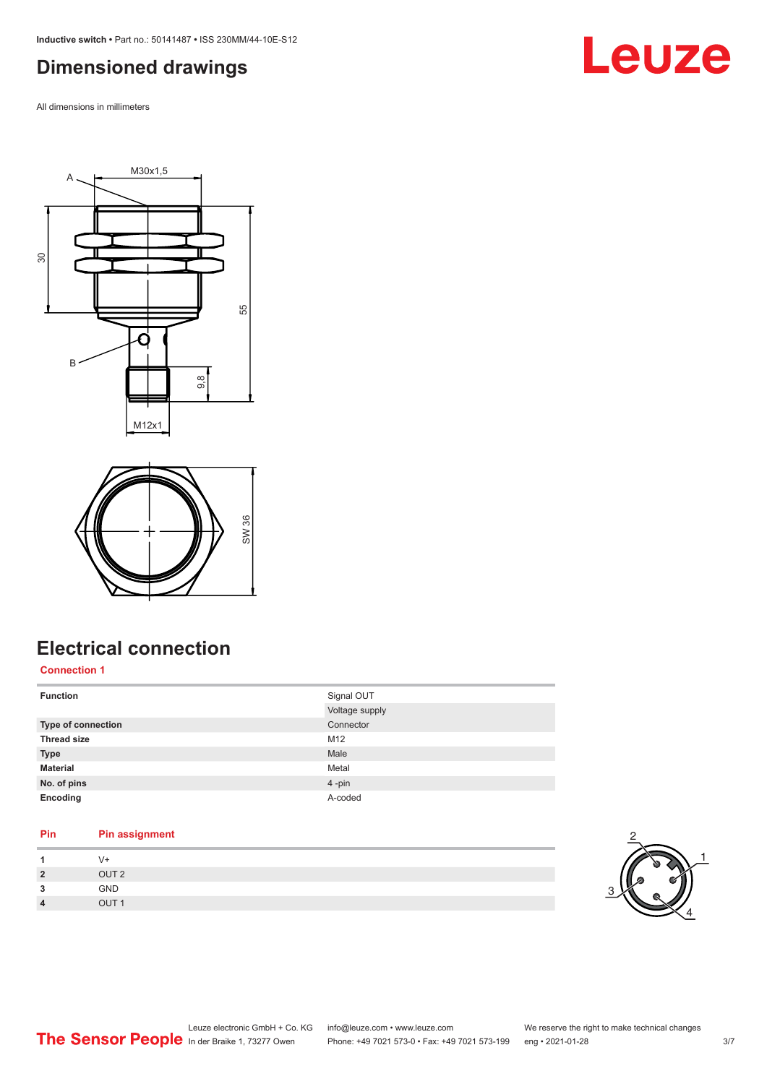<span id="page-2-0"></span>**Inductive switch •** Part no.: 50141487 **•** ISS 230MM/44-10E-S12

#### **Dimensioned drawings**

All dimensions in millimeters

Leuze





# **Electrical connection**

**Connection 1**

| Signal OUT     |
|----------------|
| Voltage supply |
| Connector      |
| M12            |
| Male           |
| Metal          |
| 4-pin          |
| A-coded        |
|                |

### **Pin Pin assignment 1** V+

| GND<br>3<br>OUT <sub>1</sub><br>$\overline{4}$ | $\overline{2}$ | OUT <sub>2</sub> |
|------------------------------------------------|----------------|------------------|
|                                                |                |                  |
|                                                |                |                  |

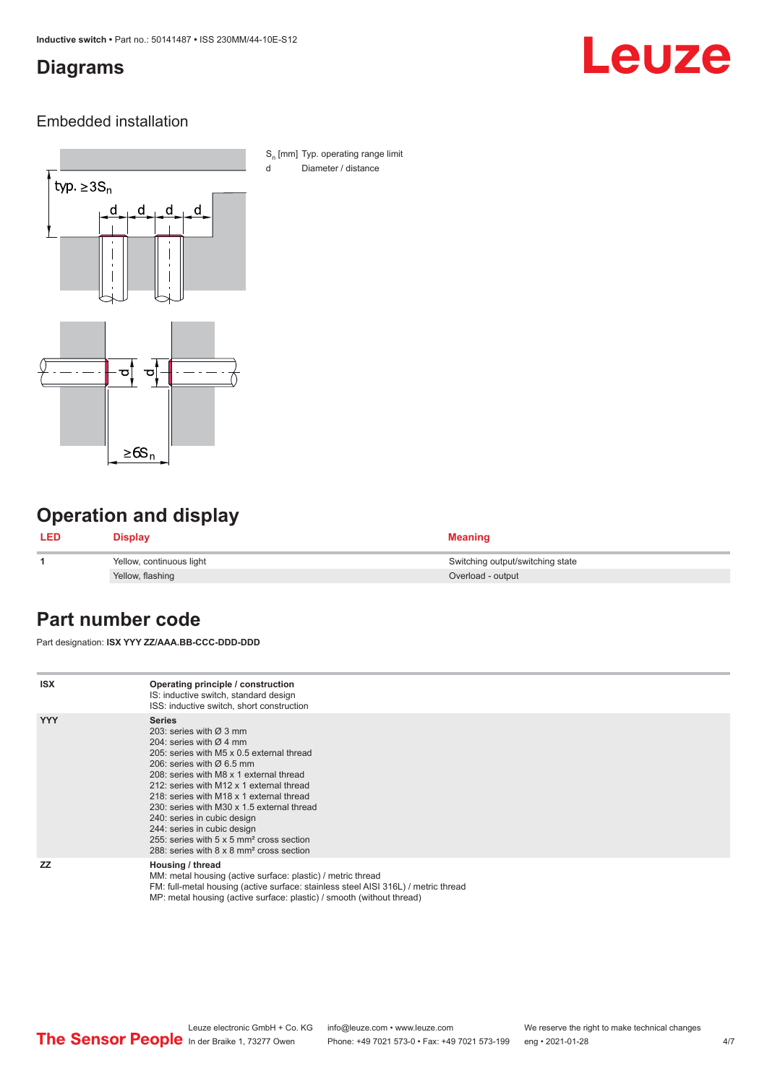#### <span id="page-3-0"></span>**Diagrams**

# Leuze

#### Embedded installation



S<sub>n</sub> [mm] Typ. operating range limit d Diameter / distance

### **Operation and display**

| <b>LED</b> | Display                  | <b>Meaning</b>                   |
|------------|--------------------------|----------------------------------|
|            | Yellow, continuous light | Switching output/switching state |
|            | Yellow, flashing         | Overload - output                |

#### **Part number code**

Part designation: **ISX YYY ZZ/AAA.BB-CCC-DDD-DDD**

| <b>ISX</b> | Operating principle / construction<br>IS: inductive switch, standard design<br>ISS: inductive switch, short construction                                                                                                                                                                                                                                                                                                                                                                                                                         |
|------------|--------------------------------------------------------------------------------------------------------------------------------------------------------------------------------------------------------------------------------------------------------------------------------------------------------------------------------------------------------------------------------------------------------------------------------------------------------------------------------------------------------------------------------------------------|
| <b>YYY</b> | <b>Series</b><br>203: series with $\varnothing$ 3 mm<br>204: series with $\varnothing$ 4 mm<br>205: series with M5 x 0.5 external thread<br>206: series with $\varnothing$ 6.5 mm<br>208: series with M8 x 1 external thread<br>212: series with M12 x 1 external thread<br>218: series with M18 x 1 external thread<br>230: series with M30 x 1.5 external thread<br>240: series in cubic design<br>244: series in cubic design<br>255: series with 5 x 5 mm <sup>2</sup> cross section<br>288: series with 8 x 8 mm <sup>2</sup> cross section |
| <b>ZZ</b>  | Housing / thread<br>MM: metal housing (active surface: plastic) / metric thread<br>FM: full-metal housing (active surface: stainless steel AISI 316L) / metric thread<br>MP: metal housing (active surface: plastic) / smooth (without thread)                                                                                                                                                                                                                                                                                                   |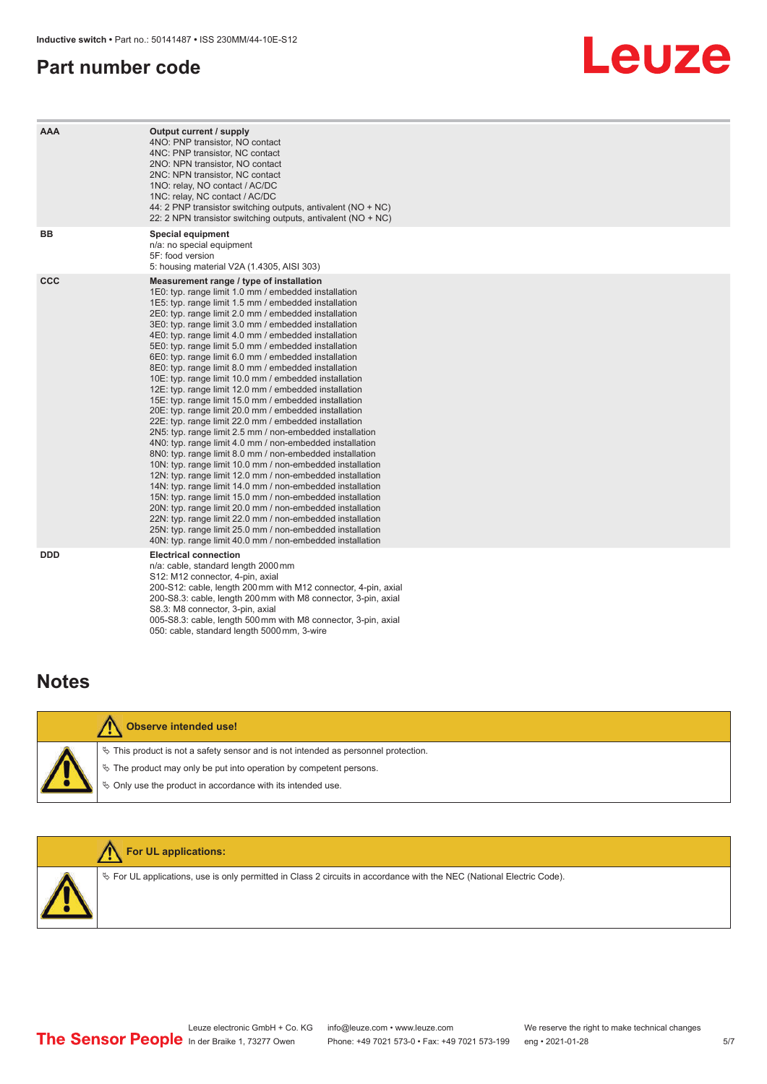#### <span id="page-4-0"></span>**Part number code**

# Leuze

| AAA        | Output current / supply<br>4NO: PNP transistor, NO contact<br>4NC: PNP transistor, NC contact<br>2NO: NPN transistor, NO contact<br>2NC: NPN transistor, NC contact<br>1NO: relay, NO contact / AC/DC<br>1NC: relay, NC contact / AC/DC<br>44: 2 PNP transistor switching outputs, antivalent (NO + NC)<br>22: 2 NPN transistor switching outputs, antivalent (NO + NC)                                                                                                                                                                                                                                                                                                                                                                                                                                                                                                                                                                                                                                                                                                                                                                                                                                                                                                                                                                                                                                                                                                                           |
|------------|---------------------------------------------------------------------------------------------------------------------------------------------------------------------------------------------------------------------------------------------------------------------------------------------------------------------------------------------------------------------------------------------------------------------------------------------------------------------------------------------------------------------------------------------------------------------------------------------------------------------------------------------------------------------------------------------------------------------------------------------------------------------------------------------------------------------------------------------------------------------------------------------------------------------------------------------------------------------------------------------------------------------------------------------------------------------------------------------------------------------------------------------------------------------------------------------------------------------------------------------------------------------------------------------------------------------------------------------------------------------------------------------------------------------------------------------------------------------------------------------------|
| <b>BB</b>  | Special equipment<br>n/a: no special equipment<br>5F: food version<br>5: housing material V2A (1.4305, AISI 303)                                                                                                                                                                                                                                                                                                                                                                                                                                                                                                                                                                                                                                                                                                                                                                                                                                                                                                                                                                                                                                                                                                                                                                                                                                                                                                                                                                                  |
| <b>CCC</b> | Measurement range / type of installation<br>1E0: typ. range limit 1.0 mm / embedded installation<br>1E5: typ. range limit 1.5 mm / embedded installation<br>2E0: typ. range limit 2.0 mm / embedded installation<br>3E0: typ. range limit 3.0 mm / embedded installation<br>4E0: typ. range limit 4.0 mm / embedded installation<br>5E0: typ. range limit 5.0 mm / embedded installation<br>6E0: typ. range limit 6.0 mm / embedded installation<br>8E0: typ. range limit 8.0 mm / embedded installation<br>10E: typ. range limit 10.0 mm / embedded installation<br>12E: typ. range limit 12.0 mm / embedded installation<br>15E: typ. range limit 15.0 mm / embedded installation<br>20E: typ. range limit 20.0 mm / embedded installation<br>22E: typ. range limit 22.0 mm / embedded installation<br>2N5: typ. range limit 2.5 mm / non-embedded installation<br>4N0: typ. range limit 4.0 mm / non-embedded installation<br>8N0: typ. range limit 8.0 mm / non-embedded installation<br>10N: typ. range limit 10.0 mm / non-embedded installation<br>12N: typ. range limit 12.0 mm / non-embedded installation<br>14N: typ. range limit 14.0 mm / non-embedded installation<br>15N: typ. range limit 15.0 mm / non-embedded installation<br>20N: typ. range limit 20.0 mm / non-embedded installation<br>22N: typ. range limit 22.0 mm / non-embedded installation<br>25N: typ. range limit 25.0 mm / non-embedded installation<br>40N: typ. range limit 40.0 mm / non-embedded installation |
| <b>DDD</b> | <b>Electrical connection</b><br>n/a: cable, standard length 2000 mm<br>S12: M12 connector, 4-pin, axial<br>200-S12: cable, length 200 mm with M12 connector, 4-pin, axial<br>200-S8.3: cable, length 200 mm with M8 connector, 3-pin, axial<br>S8.3: M8 connector, 3-pin, axial<br>005-S8.3: cable, length 500 mm with M8 connector, 3-pin, axial<br>050: cable, standard length 5000 mm, 3-wire                                                                                                                                                                                                                                                                                                                                                                                                                                                                                                                                                                                                                                                                                                                                                                                                                                                                                                                                                                                                                                                                                                  |

#### **Notes**

| <b>Observe intended use!</b>                                                                                                                                                                                                  |
|-------------------------------------------------------------------------------------------------------------------------------------------------------------------------------------------------------------------------------|
| $\%$ This product is not a safety sensor and is not intended as personnel protection.<br>$\%$ The product may only be put into operation by competent persons.<br>♦ Only use the product in accordance with its intended use. |



 $\%$  For UL applications, use is only permitted in Class 2 circuits in accordance with the NEC (National Electric Code).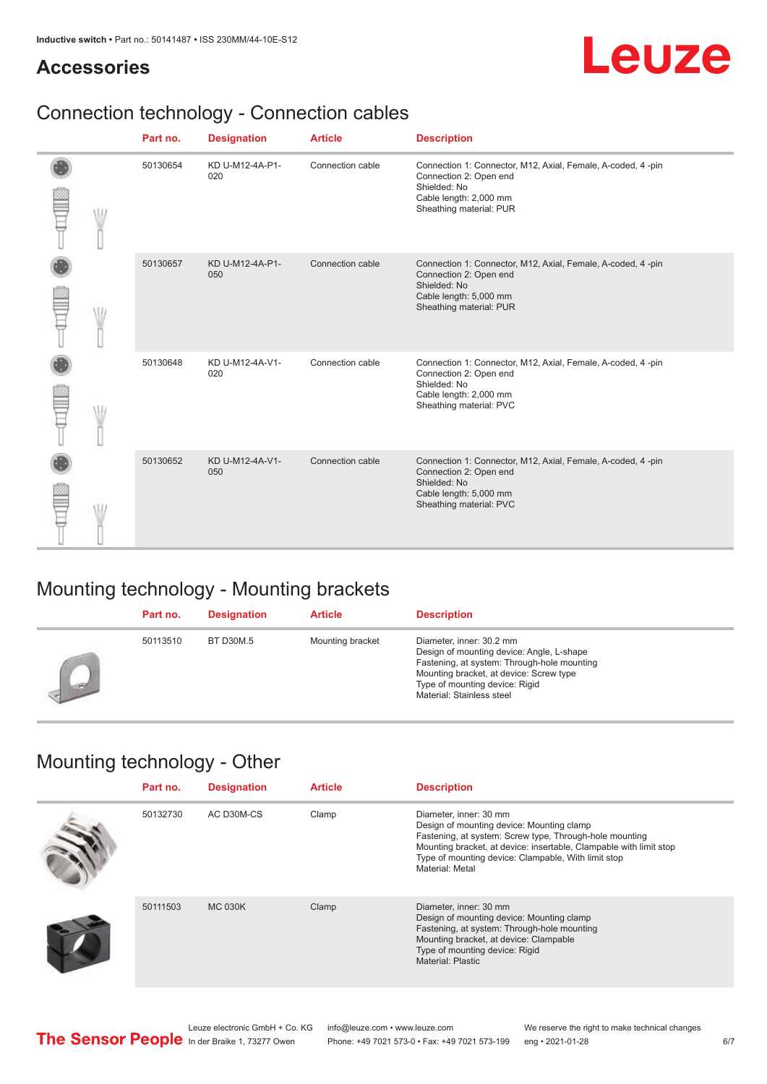#### **Accessories**

# Leuze

# Connection technology - Connection cables

|  |  | Part no. | <b>Designation</b>     | <b>Article</b>   | <b>Description</b>                                                                                                                                         |
|--|--|----------|------------------------|------------------|------------------------------------------------------------------------------------------------------------------------------------------------------------|
|  |  | 50130654 | KD U-M12-4A-P1-<br>020 | Connection cable | Connection 1: Connector, M12, Axial, Female, A-coded, 4-pin<br>Connection 2: Open end<br>Shielded: No<br>Cable length: 2,000 mm<br>Sheathing material: PUR |
|  |  | 50130657 | KD U-M12-4A-P1-<br>050 | Connection cable | Connection 1: Connector, M12, Axial, Female, A-coded, 4-pin<br>Connection 2: Open end<br>Shielded: No<br>Cable length: 5,000 mm<br>Sheathing material: PUR |
|  |  | 50130648 | KD U-M12-4A-V1-<br>020 | Connection cable | Connection 1: Connector, M12, Axial, Female, A-coded, 4-pin<br>Connection 2: Open end<br>Shielded: No<br>Cable length: 2,000 mm<br>Sheathing material: PVC |
|  |  | 50130652 | KD U-M12-4A-V1-<br>050 | Connection cable | Connection 1: Connector, M12, Axial, Female, A-coded, 4-pin<br>Connection 2: Open end<br>Shielded: No<br>Cable length: 5,000 mm<br>Sheathing material: PVC |

### Mounting technology - Mounting brackets

| Part no. | <b>Designation</b> | <b>Article</b>   | <b>Description</b>                                                                                                                                                                                                             |
|----------|--------------------|------------------|--------------------------------------------------------------------------------------------------------------------------------------------------------------------------------------------------------------------------------|
| 50113510 | BT D30M.5          | Mounting bracket | Diameter, inner: 30.2 mm<br>Design of mounting device: Angle, L-shape<br>Fastening, at system: Through-hole mounting<br>Mounting bracket, at device: Screw type<br>Type of mounting device: Rigid<br>Material: Stainless steel |

### Mounting technology - Other

| Part no. | <b>Designation</b> | <b>Article</b> | <b>Description</b>                                                                                                                                                                                                                                                             |
|----------|--------------------|----------------|--------------------------------------------------------------------------------------------------------------------------------------------------------------------------------------------------------------------------------------------------------------------------------|
| 50132730 | AC D30M-CS         | Clamp          | Diameter, inner: 30 mm<br>Design of mounting device: Mounting clamp<br>Fastening, at system: Screw type, Through-hole mounting<br>Mounting bracket, at device: insertable, Clampable with limit stop<br>Type of mounting device: Clampable, With limit stop<br>Material: Metal |
| 50111503 | <b>MC 030K</b>     | Clamp          | Diameter, inner: 30 mm<br>Design of mounting device: Mounting clamp<br>Fastening, at system: Through-hole mounting<br>Mounting bracket, at device: Clampable<br>Type of mounting device: Rigid<br>Material: Plastic                                                            |